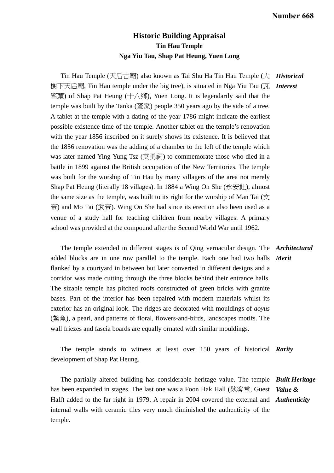## **Historic Building Appraisal Tin Hau Temple Nga Yiu Tau, Shap Pat Heung, Yuen Long**

Tin Hau Temple (天后古廟) also known as Tai Shu Ha Tin Hau Temple (大 *Historical*  樹下天后廟, Tin Hau temple under the big tree), is situated in Nga Yiu Tau (瓦 *Interest*  窰頭) of Shap Pat Heung (十八鄉), Yuen Long. It is legendarily said that the temple was built by the Tanka (蛋家) people 350 years ago by the side of a tree. A tablet at the temple with a dating of the year 1786 might indicate the earliest possible existence time of the temple. Another tablet on the temple's renovation with the year 1856 inscribed on it surely shows its existence. It is believed that the 1856 renovation was the adding of a chamber to the left of the temple which was later named Ying Yung Tsz (英勇祠) to commemorate those who died in a battle in 1899 against the British occupation of the New Territories. The temple was built for the worship of Tin Hau by many villagers of the area not merely Shap Pat Heung (literally 18 villages). In 1884 a Wing On She (永安社), almost the same size as the temple, was built to its right for the worship of Man Tai  $(\nabla)$ 帝) and Mo Tai (武帝). Wing On She had since its erection also been used as a venue of a study hall for teaching children from nearby villages. A primary school was provided at the compound after the Second World War until 1962.

 The temple extended in different stages is of Qing vernacular design. The *Architectural*  added blocks are in one row parallel to the temple. Each one had two halls *Merit*  flanked by a courtyard in between but later converted in different designs and a corridor was made cutting through the three blocks behind their entrance halls. The sizable temple has pitched roofs constructed of green bricks with granite bases. Part of the interior has been repaired with modern materials whilst its exterior has an original look. The ridges are decorated with mouldings of *aoyus* (鰲魚), a pearl, and patterns of floral, flowers-and-birds, landscapes motifs. The wall friezes and fascia boards are equally ornated with similar mouldings.

 The temple stands to witness at least over 150 years of historical *Rarity*  development of Shap Pat Heung.

 The partially altered building has considerable heritage value. The temple *Built Heritage* has been expanded in stages. The last one was a Foon Hak Hall (欵客堂, Guest *Value &*  Hall) added to the far right in 1979. A repair in 2004 covered the external and *Authenticity*  internal walls with ceramic tiles very much diminished the authenticity of the temple.